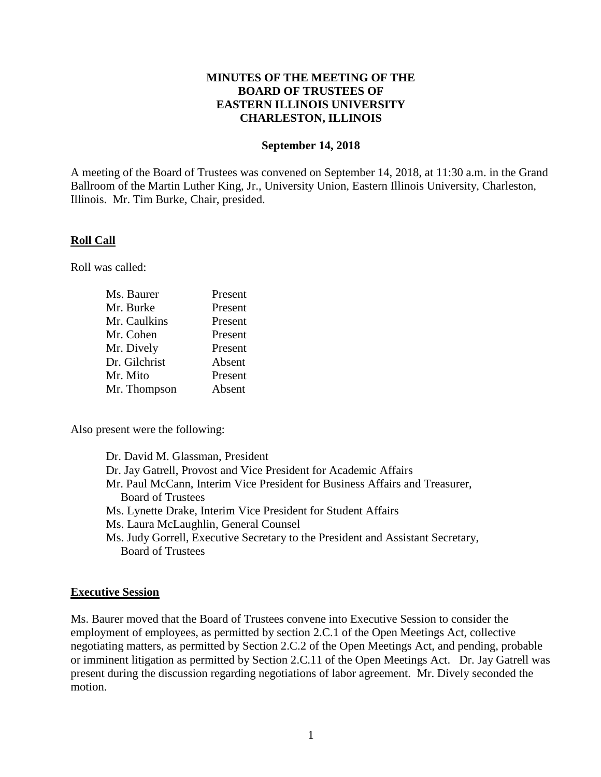# **MINUTES OF THE MEETING OF THE BOARD OF TRUSTEES OF EASTERN ILLINOIS UNIVERSITY CHARLESTON, ILLINOIS**

#### **September 14, 2018**

A meeting of the Board of Trustees was convened on September 14, 2018, at 11:30 a.m. in the Grand Ballroom of the Martin Luther King, Jr., University Union, Eastern Illinois University, Charleston, Illinois. Mr. Tim Burke, Chair, presided.

## **Roll Call**

Roll was called:

| Ms. Baurer    | Present |
|---------------|---------|
| Mr. Burke     | Present |
| Mr. Caulkins  | Present |
| Mr. Cohen     | Present |
| Mr. Dively    | Present |
| Dr. Gilchrist | Absent  |
| Mr. Mito      | Present |
| Mr. Thompson  | Absent  |

Also present were the following:

Dr. David M. Glassman, President Dr. Jay Gatrell, Provost and Vice President for Academic Affairs Mr. Paul McCann, Interim Vice President for Business Affairs and Treasurer, Board of Trustees Ms. Lynette Drake, Interim Vice President for Student Affairs Ms. Laura McLaughlin, General Counsel Ms. Judy Gorrell, Executive Secretary to the President and Assistant Secretary, Board of Trustees

## **Executive Session**

Ms. Baurer moved that the Board of Trustees convene into Executive Session to consider the employment of employees, as permitted by section 2.C.1 of the Open Meetings Act, collective negotiating matters, as permitted by Section 2.C.2 of the Open Meetings Act, and pending, probable or imminent litigation as permitted by Section 2.C.11 of the Open Meetings Act. Dr. Jay Gatrell was present during the discussion regarding negotiations of labor agreement. Mr. Dively seconded the motion.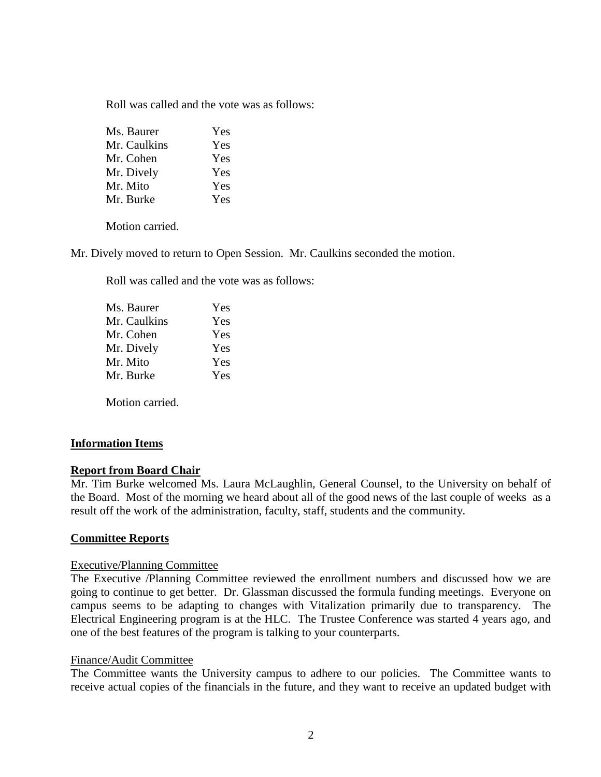Roll was called and the vote was as follows:

| Ms. Baurer   | Yes |
|--------------|-----|
| Mr. Caulkins | Yes |
| Mr. Cohen    | Yes |
| Mr. Dively   | Yes |
| Mr. Mito     | Yes |
| Mr. Burke    | Yes |
|              |     |

Motion carried.

Mr. Dively moved to return to Open Session. Mr. Caulkins seconded the motion.

Roll was called and the vote was as follows:

| Ms. Baurer   | Yes |
|--------------|-----|
| Mr. Caulkins | Yes |
| Mr. Cohen    | Yes |
| Mr. Dively   | Yes |
| Mr. Mito     | Yes |
| Mr. Burke    | Yes |
|              |     |

Motion carried.

## **Information Items**

#### **Report from Board Chair**

Mr. Tim Burke welcomed Ms. Laura McLaughlin, General Counsel, to the University on behalf of the Board. Most of the morning we heard about all of the good news of the last couple of weeks as a result off the work of the administration, faculty, staff, students and the community.

## **Committee Reports**

#### Executive/Planning Committee

The Executive /Planning Committee reviewed the enrollment numbers and discussed how we are going to continue to get better. Dr. Glassman discussed the formula funding meetings. Everyone on campus seems to be adapting to changes with Vitalization primarily due to transparency. The Electrical Engineering program is at the HLC. The Trustee Conference was started 4 years ago, and one of the best features of the program is talking to your counterparts.

#### Finance/Audit Committee

The Committee wants the University campus to adhere to our policies. The Committee wants to receive actual copies of the financials in the future, and they want to receive an updated budget with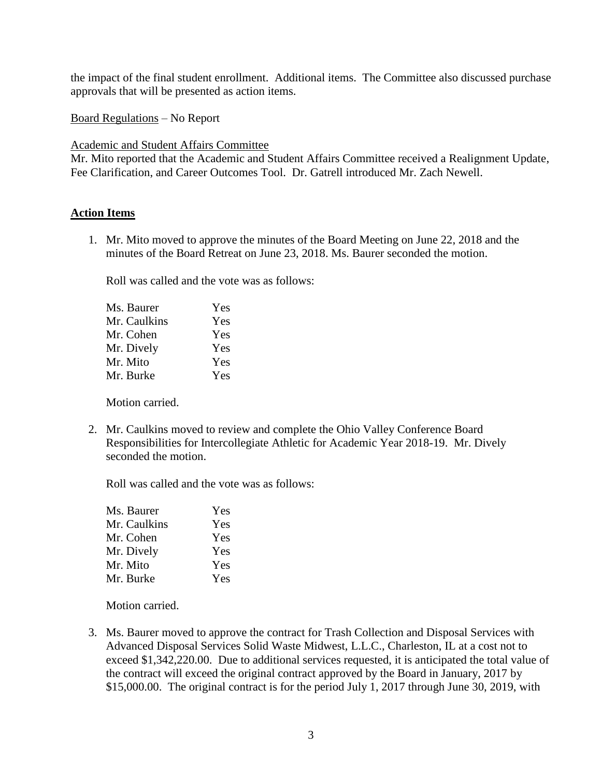the impact of the final student enrollment. Additional items. The Committee also discussed purchase approvals that will be presented as action items.

Board Regulations – No Report

Academic and Student Affairs Committee

Mr. Mito reported that the Academic and Student Affairs Committee received a Realignment Update, Fee Clarification, and Career Outcomes Tool. Dr. Gatrell introduced Mr. Zach Newell.

# **Action Items**

1. Mr. Mito moved to approve the minutes of the Board Meeting on June 22, 2018 and the minutes of the Board Retreat on June 23, 2018. Ms. Baurer seconded the motion.

Roll was called and the vote was as follows:

| Ms. Baurer   | Yes |
|--------------|-----|
| Mr. Caulkins | Yes |
| Mr. Cohen    | Yes |
| Mr. Dively   | Yes |
| Mr. Mito     | Yes |
| Mr. Burke    | Yes |

Motion carried.

2. Mr. Caulkins moved to review and complete the Ohio Valley Conference Board Responsibilities for Intercollegiate Athletic for Academic Year 2018-19. Mr. Dively seconded the motion.

Roll was called and the vote was as follows:

| Yes |
|-----|
| Yes |
| Yes |
| Yes |
| Yes |
| Yes |
|     |

Motion carried.

3. Ms. Baurer moved to approve the contract for Trash Collection and Disposal Services with Advanced Disposal Services Solid Waste Midwest, L.L.C., Charleston, IL at a cost not to exceed \$1,342,220.00. Due to additional services requested, it is anticipated the total value of the contract will exceed the original contract approved by the Board in January, 2017 by \$15,000.00. The original contract is for the period July 1, 2017 through June 30, 2019, with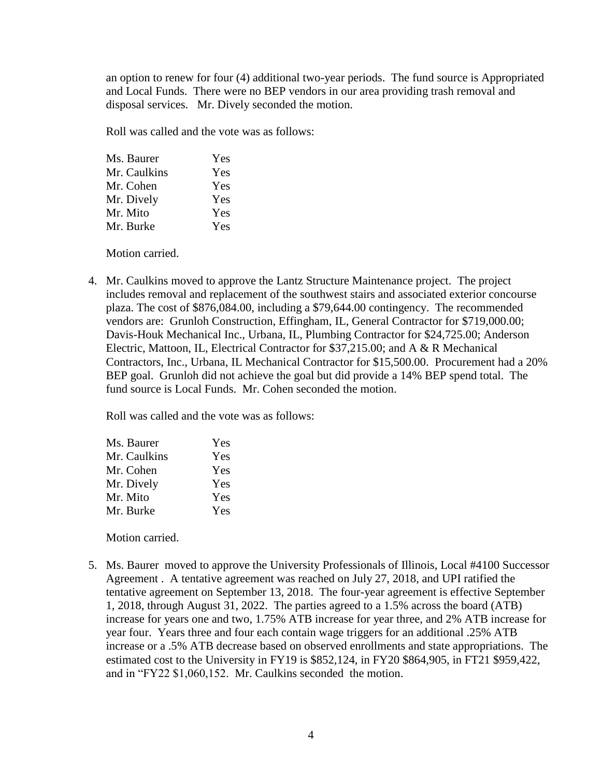an option to renew for four (4) additional two-year periods. The fund source is Appropriated and Local Funds. There were no BEP vendors in our area providing trash removal and disposal services. Mr. Dively seconded the motion.

Roll was called and the vote was as follows:

| Yes |
|-----|
| Yes |
| Yes |
| Yes |
| Yes |
| Yes |
|     |

Motion carried.

4. Mr. Caulkins moved to approve the Lantz Structure Maintenance project. The project includes removal and replacement of the southwest stairs and associated exterior concourse plaza. The cost of \$876,084.00, including a \$79,644.00 contingency. The recommended vendors are: Grunloh Construction, Effingham, IL, General Contractor for \$719,000.00; Davis-Houk Mechanical Inc., Urbana, IL, Plumbing Contractor for \$24,725.00; Anderson Electric, Mattoon, IL, Electrical Contractor for \$37,215.00; and A & R Mechanical Contractors, Inc., Urbana, IL Mechanical Contractor for \$15,500.00. Procurement had a 20% BEP goal. Grunloh did not achieve the goal but did provide a 14% BEP spend total. The fund source is Local Funds. Mr. Cohen seconded the motion.

Roll was called and the vote was as follows:

| Ms. Baurer   | Yes        |
|--------------|------------|
| Mr. Caulkins | <b>Yes</b> |
| Mr. Cohen    | Yes        |
| Mr. Dively   | Yes        |
| Mr. Mito     | Yes        |
| Mr. Burke    | Yes        |

Motion carried.

5. Ms. Baurer moved to approve the University Professionals of Illinois, Local #4100 Successor Agreement . A tentative agreement was reached on July 27, 2018, and UPI ratified the tentative agreement on September 13, 2018. The four-year agreement is effective September 1, 2018, through August 31, 2022. The parties agreed to a 1.5% across the board (ATB) increase for years one and two, 1.75% ATB increase for year three, and 2% ATB increase for year four. Years three and four each contain wage triggers for an additional .25% ATB increase or a .5% ATB decrease based on observed enrollments and state appropriations. The estimated cost to the University in FY19 is \$852,124, in FY20 \$864,905, in FT21 \$959,422, and in "FY22 \$1,060,152. Mr. Caulkins seconded the motion.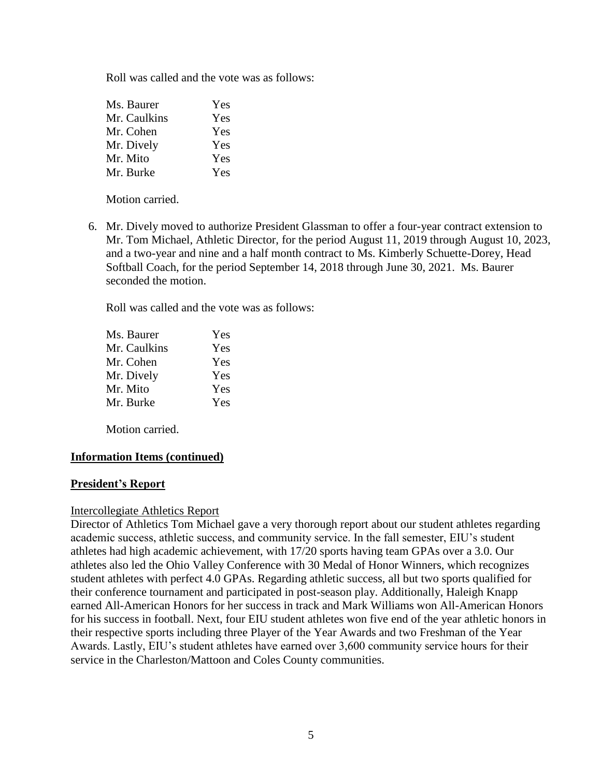Roll was called and the vote was as follows:

| Ms. Baurer   | Yes |
|--------------|-----|
| Mr. Caulkins | Yes |
| Mr. Cohen    | Yes |
| Mr. Dively   | Yes |
| Mr. Mito     | Yes |
| Mr. Burke    | Yes |

Motion carried.

6. Mr. Dively moved to authorize President Glassman to offer a four-year contract extension to Mr. Tom Michael, Athletic Director, for the period August 11, 2019 through August 10, 2023, and a two-year and nine and a half month contract to Ms. Kimberly Schuette-Dorey, Head Softball Coach, for the period September 14, 2018 through June 30, 2021. Ms. Baurer seconded the motion.

Roll was called and the vote was as follows:

| Yes |
|-----|
| Yes |
| Yes |
| Yes |
| Yes |
| Yes |
|     |

Motion carried.

## **Information Items (continued)**

## **President's Report**

#### Intercollegiate Athletics Report

Director of Athletics Tom Michael gave a very thorough report about our student athletes regarding academic success, athletic success, and community service. In the fall semester, EIU's student athletes had high academic achievement, with 17/20 sports having team GPAs over a 3.0. Our athletes also led the Ohio Valley Conference with 30 Medal of Honor Winners, which recognizes student athletes with perfect 4.0 GPAs. Regarding athletic success, all but two sports qualified for their conference tournament and participated in post-season play. Additionally, Haleigh Knapp earned All-American Honors for her success in track and Mark Williams won All-American Honors for his success in football. Next, four EIU student athletes won five end of the year athletic honors in their respective sports including three Player of the Year Awards and two Freshman of the Year Awards. Lastly, EIU's student athletes have earned over 3,600 community service hours for their service in the Charleston/Mattoon and Coles County communities.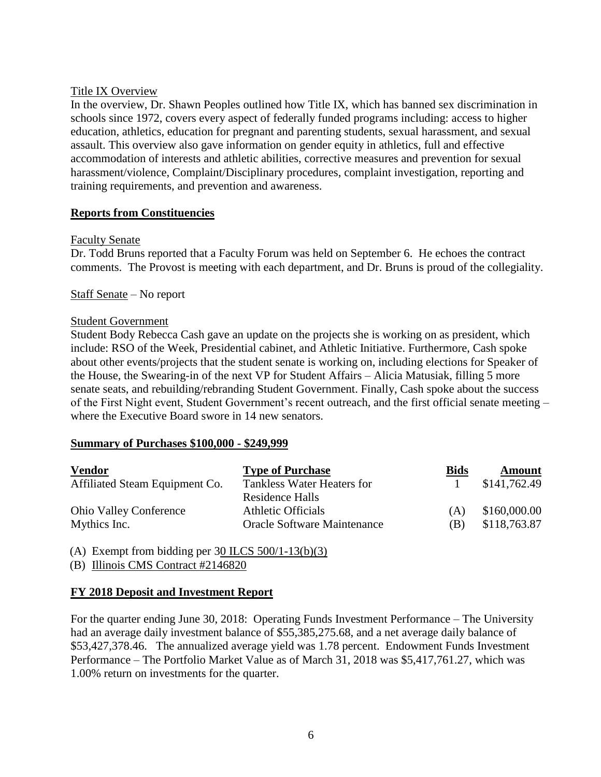## Title IX Overview

In the overview, Dr. Shawn Peoples outlined how Title IX, which has banned sex discrimination in schools since 1972, covers every aspect of federally funded programs including: access to higher education, athletics, education for pregnant and parenting students, sexual harassment, and sexual assault. This overview also gave information on gender equity in athletics, full and effective accommodation of interests and athletic abilities, corrective measures and prevention for sexual harassment/violence, Complaint/Disciplinary procedures, complaint investigation, reporting and training requirements, and prevention and awareness.

## **Reports from Constituencies**

## Faculty Senate

Dr. Todd Bruns reported that a Faculty Forum was held on September 6. He echoes the contract comments. The Provost is meeting with each department, and Dr. Bruns is proud of the collegiality.

## Staff Senate – No report

#### Student Government

Student Body Rebecca Cash gave an update on the projects she is working on as president, which include: RSO of the Week, Presidential cabinet, and Athletic Initiative. Furthermore, Cash spoke about other events/projects that the student senate is working on, including elections for Speaker of the House, the Swearing-in of the next VP for Student Affairs – Alicia Matusiak, filling 5 more senate seats, and rebuilding/rebranding Student Government. Finally, Cash spoke about the success of the First Night event, Student Government's recent outreach, and the first official senate meeting – where the Executive Board swore in 14 new senators.

#### **Summary of Purchases \$100,000 - \$249,999**

| <b>Vendor</b>                  | <b>Type of Purchase</b>            | <b>Bids</b> | <b>Amount</b> |
|--------------------------------|------------------------------------|-------------|---------------|
| Affiliated Steam Equipment Co. | Tankless Water Heaters for         |             | \$141,762.49  |
|                                | Residence Halls                    |             |               |
| <b>Ohio Valley Conference</b>  | Athletic Officials                 | (A)         | \$160,000.00  |
| Mythics Inc.                   | <b>Oracle Software Maintenance</b> | (B)         | \$118,763.87  |

(A) Exempt from bidding per  $30$  ILCS  $500/1-13(b)(3)$ 

(B) Illinois CMS Contract #2146820

## **FY 2018 Deposit and Investment Report**

For the quarter ending June 30, 2018: Operating Funds Investment Performance – The University had an average daily investment balance of \$55,385,275.68, and a net average daily balance of \$53,427,378.46. The annualized average yield was 1.78 percent. Endowment Funds Investment Performance – The Portfolio Market Value as of March 31, 2018 was \$5,417,761.27, which was 1.00% return on investments for the quarter.